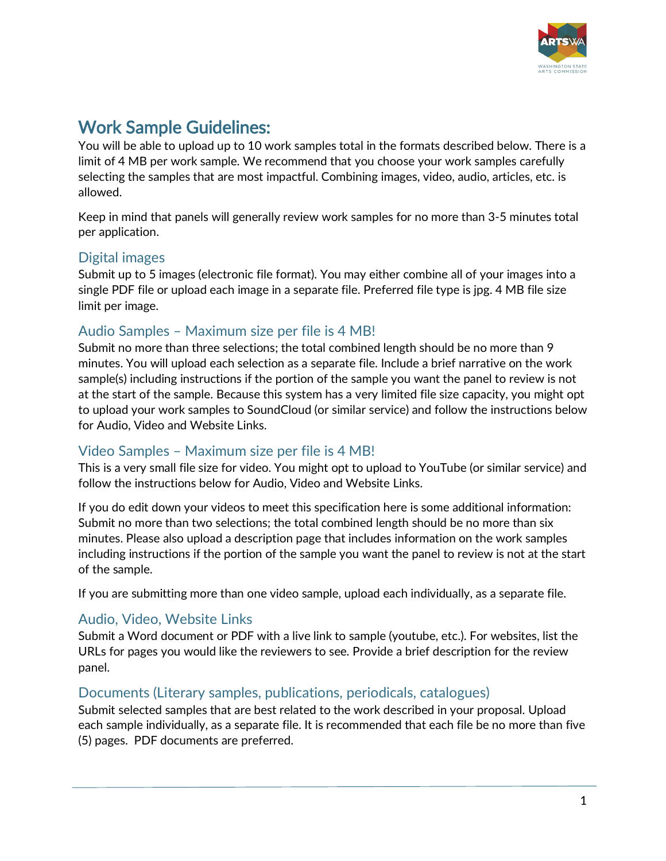

Work Sample Guidelines:<br>You will be able to upload up to 10 work samples total in the formats described below. There is a limit of 4 MB per work sample. We recommend that you choose your work samples carefully selecting the samples that are most impactful. Combining images, video, audio, articles, etc. is allowed.

Keep in mind that panels will generally review work samples for no more than 3-5 minutes total per application.

# Digital images

Submit up to 5 images (electronic file format). You may either combine all of your images into a single PDF file or upload each image in a separate file. Preferred file type is jpg. 4 MB file size limit per image.

## Audio Samples – Maximum size per file is 4 MB!

Submit no more than three selections; the total combined length should be no more than 9 minutes. You will upload each selection as a separate file. Include a brief narrative on the work sample(s) including instructions if the portion of the sample you want the panel to review is not at the start of the sample. Because this system has a very limited file size capacity, you might opt to upload your work samples to SoundCloud (or similar service) and follow the instructions below for Audio, Video and Website Links.

### Video Samples – Maximum size per file is 4 MB!

This is a very small file size for video. You might opt to upload to YouTube (or similar service) and follow the instructions below for Audio, Video and Website Links.

If you do edit down your videos to meet this specification here is some additional information: Submit no more than two selections; the total combined length should be no more than six minutes. Please also upload a description page that includes information on the work samples including instructions if the portion of the sample you want the panel to review is not at the start of the sample.

If you are submitting more than one video sample, upload each individually, as a separate file.

# Audio, Video, Website Links

Submit a Word document or PDF with a live link to sample (youtube, etc.). For websites, list the URLs for pages you would like the reviewers to see. Provide a brief description for the review panel.

### Documents (Literary samples, publications, periodicals, catalogues)

Submit selected samples that are best related to the work described in your proposal. Upload each sample individually, as a separate file. It is recommended that each file be no more than five (5) pages. PDF documents are preferred.